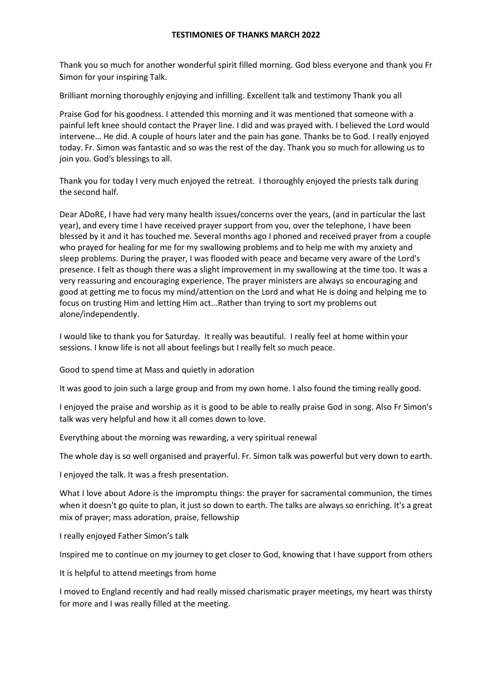## **TESTIMONIES OF THANKS MARCH 2022**

Thank you so much for another wonderful spirit filled morning. God bless everyone and thank you Fr Simon for your inspiring Talk.

Brilliant morning thoroughly enjoying and infilling. Excellent talk and testimony Thank you all

Praise God for his goodness. I attended this morning and it was mentioned that someone with a painful left knee should contact the Prayer line. I did and was prayed with. I believed the Lord would intervene… He did. A couple of hours later and the pain has gone. Thanks be to God. I really enjoyed today. Fr. Simon was fantastic and so was the rest of the day. Thank you so much for allowing us to join you. God's blessings to all.

Thank you for today I very much enjoyed the retreat. I thoroughly enjoyed the priests talk during the second half.

Dear ADoRE, I have had very many health issues/concerns over the years, (and in particular the last year), and every time I have received prayer support from you, over the telephone, I have been blessed by it and it has touched me. Several months ago I phoned and received prayer from a couple who prayed for healing for me for my swallowing problems and to help me with my anxiety and sleep problems. During the prayer, I was flooded with peace and became very aware of the Lord's presence. I felt as though there was a slight improvement in my swallowing at the time too. It was a very reassuring and encouraging experience. The prayer ministers are always so encouraging and good at getting me to focus my mind/attention on the Lord and what He is doing and helping me to focus on trusting Him and letting Him act...Rather than trying to sort my problems out alone/independently.

I would like to thank you for Saturday. It really was beautiful. I really feel at home within your sessions. I know life is not all about feelings but I really felt so much peace.

Good to spend time at Mass and quietly in adoration

It was good to join such a large group and from my own home. I also found the timing really good.

I enjoyed the praise and worship as it is good to be able to really praise God in song. Also Fr Simon's talk was very helpful and how it all comes down to love.

Everything about the morning was rewarding, a very spiritual renewal

The whole day is so well organised and prayerful. Fr. Simon talk was powerful but very down to earth.

I enjoyed the talk. It was a fresh presentation.

What I love about Adore is the impromptu things: the prayer for sacramental communion, the times when it doesn't go quite to plan, it just so down to earth. The talks are always so enriching. It's a great mix of prayer; mass adoration, praise, fellowship

I really enjoyed Father Simon's talk

Inspired me to continue on my journey to get closer to God, knowing that I have support from others

It is helpful to attend meetings from home

I moved to England recently and had really missed charismatic prayer meetings, my heart was thirsty for more and I was really filled at the meeting.